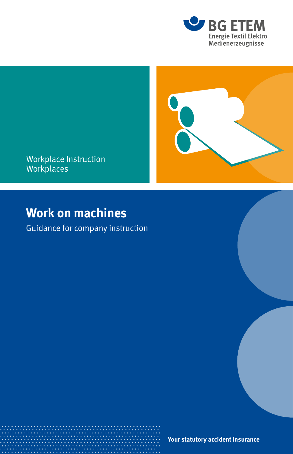



Workplace Instruction Workplaces

# **Work on machines**

Guidance for company instruction

**Your statutory accident insurance**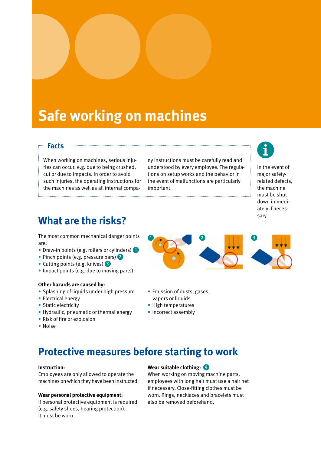# **Safe working on machines**

### **Facts**

When working on machines, serious injuries can occur, e.g. due to being crushed, cut or due to impacts. In order to avoid such injuries, the operating instructions for the machines as well as all internal compa-

ny instructions must be carefully read and understood by every employee. The regulations on setup works and the behavior in the event of malfunctions are particularly important.



In the event of major safetyrelated defects, the machine must be shut down immediately if necessary.

### **What are the risks?**

The most common mechanical danger points are:

- Draw-in points (e.g. rollers or cylinders)
- Pinch points (e.g. pressure bars) 2
- Cutting points (e.g. knives) 3
- Impact points (e.g. due to moving parts)

#### **Other hazards are caused by:**

- Splashing of liquids under high pressure
- Electrical energy
- Static electricity
- Hydraulic, pneumatic or thermal energy
- Risk of fire or explosion
- Noise

## **Protective measures before starting to work**

#### **Instruction:**

Employees are only allowed to operate the machines on which they have been instructed.

#### **Wear personal protective equipment:**

If personal protective equipment is required (e.g. safety shoes, hearing protection), it must be worn.

#### **Wear suitable clothing:** 4

When working on moving machine parts, employees with long hair must use a hair net if necessary. Close-fitting clothes must be worn. Rings, necklaces and bracelets must also be removed beforehand.



- Emission of dusts, gases, vapors or liquids
- High temperatures
- Incorrect assembly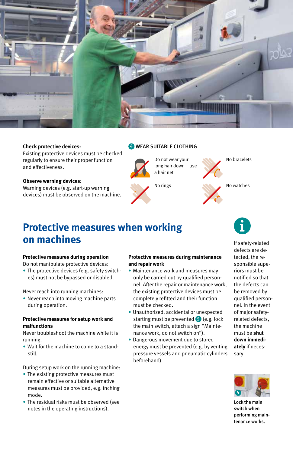

#### **Check protective devices:**

Existing protective devices must be checked regularly to ensure their proper function and effectiveness.

#### **Observe warning devices:**

Warning devices (e.g. start-up warning devices) must be observed on the machine.

#### **4** WEAR SUITABLE CLOTHING



### **Protective measures when working on machines**

#### **Protective measures during operation**

Do not manipulate protective devices:

• The protective devices (e.g. safety switches) must not be bypassed or disabled.

Never reach into running machines:

• Never reach into moving machine parts during operation.

#### **Protective measures for setup work and malfunctions**

Never troubleshoot the machine while it is running.

• Wait for the machine to come to a standstill.

During setup work on the running machine:

- The existing protective measures must remain effective or suitable alternative measures must be provided, e.g. inching mode.
- The residual risks must be observed (see notes in the operating instructions).

#### **Protective measures during maintenance and repair work**

- Maintenance work and measures may only be carried out by qualified personnel. After the repair or maintenance work, the existing protective devices must be completely refitted and their function must be checked.
- Unauthorized, accidental or unexpected starting must be prevented  $\bullet$  (e.g. lock the main switch, attach a sign "Maintenance work, do not switch on").
- Dangerous movement due to stored energy must be prevented (e.g. by venting pressure vessels and pneumatic cylinders beforehand).

If safety-related defects are detected, the responsible superiors must be notified so that the defects can be removed by qualified personnel. In the event of major safetyrelated defects, the machine must be **shut down immediately** if necessary.



Lock the main switch when performing maintenance works.